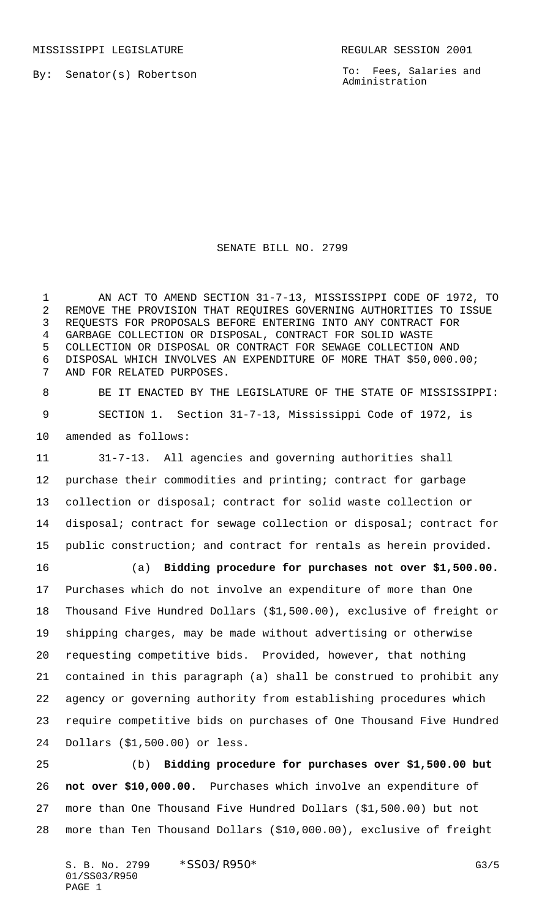MISSISSIPPI LEGISLATURE **REGULAR SESSION 2001** 

By: Senator(s) Robertson

To: Fees, Salaries and Administration

SENATE BILL NO. 2799

 AN ACT TO AMEND SECTION 31-7-13, MISSISSIPPI CODE OF 1972, TO REMOVE THE PROVISION THAT REQUIRES GOVERNING AUTHORITIES TO ISSUE REQUESTS FOR PROPOSALS BEFORE ENTERING INTO ANY CONTRACT FOR GARBAGE COLLECTION OR DISPOSAL, CONTRACT FOR SOLID WASTE COLLECTION OR DISPOSAL OR CONTRACT FOR SEWAGE COLLECTION AND DISPOSAL WHICH INVOLVES AN EXPENDITURE OF MORE THAT \$50,000.00; AND FOR RELATED PURPOSES.

 BE IT ENACTED BY THE LEGISLATURE OF THE STATE OF MISSISSIPPI: SECTION 1. Section 31-7-13, Mississippi Code of 1972, is amended as follows:

 31-7-13. All agencies and governing authorities shall purchase their commodities and printing; contract for garbage collection or disposal; contract for solid waste collection or disposal; contract for sewage collection or disposal; contract for public construction; and contract for rentals as herein provided.

 (a) **Bidding procedure for purchases not over \$1,500.00.** Purchases which do not involve an expenditure of more than One Thousand Five Hundred Dollars (\$1,500.00), exclusive of freight or shipping charges, may be made without advertising or otherwise requesting competitive bids. Provided, however, that nothing contained in this paragraph (a) shall be construed to prohibit any agency or governing authority from establishing procedures which require competitive bids on purchases of One Thousand Five Hundred Dollars (\$1,500.00) or less.

 (b) **Bidding procedure for purchases over \$1,500.00 but not over \$10,000.00.** Purchases which involve an expenditure of more than One Thousand Five Hundred Dollars (\$1,500.00) but not more than Ten Thousand Dollars (\$10,000.00), exclusive of freight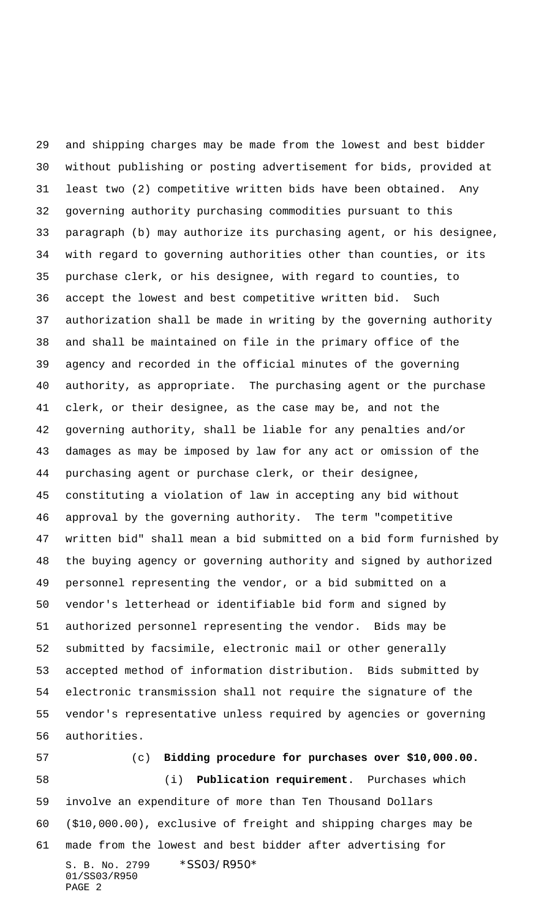and shipping charges may be made from the lowest and best bidder without publishing or posting advertisement for bids, provided at least two (2) competitive written bids have been obtained. Any governing authority purchasing commodities pursuant to this paragraph (b) may authorize its purchasing agent, or his designee, with regard to governing authorities other than counties, or its purchase clerk, or his designee, with regard to counties, to accept the lowest and best competitive written bid. Such authorization shall be made in writing by the governing authority and shall be maintained on file in the primary office of the agency and recorded in the official minutes of the governing authority, as appropriate. The purchasing agent or the purchase clerk, or their designee, as the case may be, and not the governing authority, shall be liable for any penalties and/or damages as may be imposed by law for any act or omission of the purchasing agent or purchase clerk, or their designee, constituting a violation of law in accepting any bid without approval by the governing authority. The term "competitive written bid" shall mean a bid submitted on a bid form furnished by the buying agency or governing authority and signed by authorized personnel representing the vendor, or a bid submitted on a vendor's letterhead or identifiable bid form and signed by authorized personnel representing the vendor. Bids may be submitted by facsimile, electronic mail or other generally accepted method of information distribution. Bids submitted by electronic transmission shall not require the signature of the vendor's representative unless required by agencies or governing authorities.

S. B. No. 2799 \*SS03/R950\* 01/SS03/R950 PAGE 2 (c) **Bidding procedure for purchases over \$10,000.00.** (i) **Publication requirement**. Purchases which involve an expenditure of more than Ten Thousand Dollars (\$10,000.00), exclusive of freight and shipping charges may be made from the lowest and best bidder after advertising for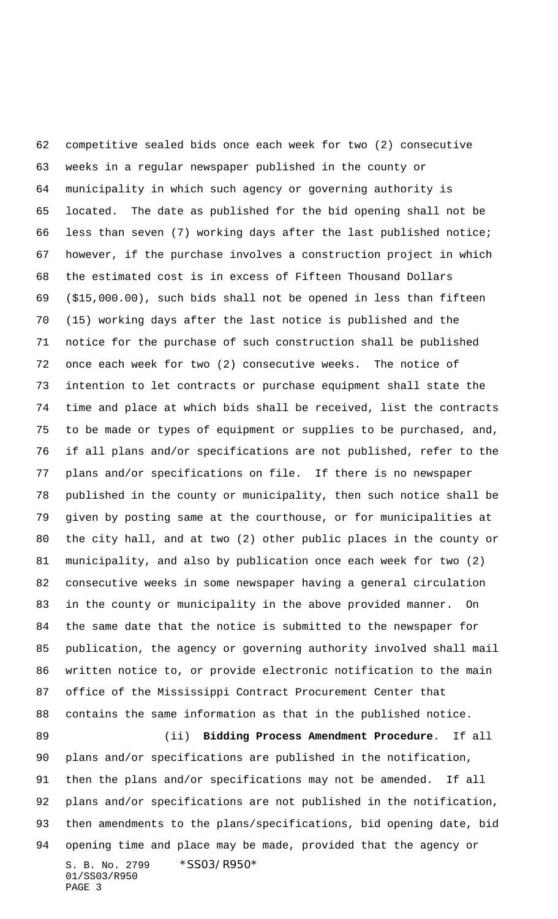S. B. No. 2799 \* SS03/R950\* 01/SS03/R950 PAGE 3 competitive sealed bids once each week for two (2) consecutive weeks in a regular newspaper published in the county or municipality in which such agency or governing authority is located. The date as published for the bid opening shall not be less than seven (7) working days after the last published notice; however, if the purchase involves a construction project in which the estimated cost is in excess of Fifteen Thousand Dollars (\$15,000.00), such bids shall not be opened in less than fifteen (15) working days after the last notice is published and the notice for the purchase of such construction shall be published once each week for two (2) consecutive weeks. The notice of intention to let contracts or purchase equipment shall state the time and place at which bids shall be received, list the contracts to be made or types of equipment or supplies to be purchased, and, if all plans and/or specifications are not published, refer to the plans and/or specifications on file. If there is no newspaper published in the county or municipality, then such notice shall be given by posting same at the courthouse, or for municipalities at the city hall, and at two (2) other public places in the county or municipality, and also by publication once each week for two (2) consecutive weeks in some newspaper having a general circulation in the county or municipality in the above provided manner. On the same date that the notice is submitted to the newspaper for publication, the agency or governing authority involved shall mail written notice to, or provide electronic notification to the main office of the Mississippi Contract Procurement Center that contains the same information as that in the published notice. (ii) **Bidding Process Amendment Procedure**. If all plans and/or specifications are published in the notification, then the plans and/or specifications may not be amended. If all plans and/or specifications are not published in the notification, then amendments to the plans/specifications, bid opening date, bid opening time and place may be made, provided that the agency or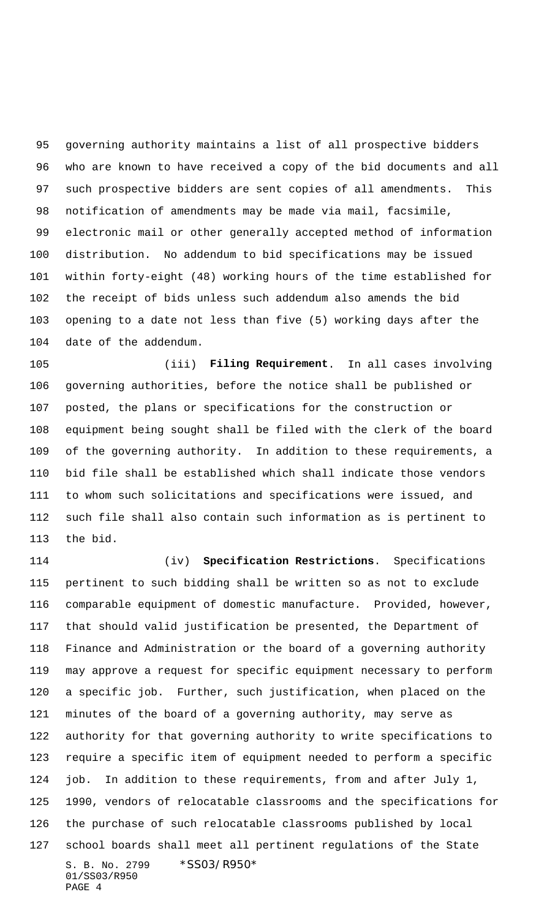governing authority maintains a list of all prospective bidders who are known to have received a copy of the bid documents and all such prospective bidders are sent copies of all amendments. This notification of amendments may be made via mail, facsimile, electronic mail or other generally accepted method of information distribution. No addendum to bid specifications may be issued within forty-eight (48) working hours of the time established for the receipt of bids unless such addendum also amends the bid opening to a date not less than five (5) working days after the date of the addendum.

 (iii) **Filing Requirement**. In all cases involving governing authorities, before the notice shall be published or posted, the plans or specifications for the construction or equipment being sought shall be filed with the clerk of the board of the governing authority. In addition to these requirements, a bid file shall be established which shall indicate those vendors to whom such solicitations and specifications were issued, and such file shall also contain such information as is pertinent to the bid.

S. B. No. 2799 \*SS03/R950\* 01/SS03/R950 (iv) **Specification Restrictions**. Specifications pertinent to such bidding shall be written so as not to exclude comparable equipment of domestic manufacture. Provided, however, that should valid justification be presented, the Department of Finance and Administration or the board of a governing authority may approve a request for specific equipment necessary to perform a specific job. Further, such justification, when placed on the minutes of the board of a governing authority, may serve as authority for that governing authority to write specifications to require a specific item of equipment needed to perform a specific job. In addition to these requirements, from and after July 1, 1990, vendors of relocatable classrooms and the specifications for the purchase of such relocatable classrooms published by local school boards shall meet all pertinent regulations of the State

PAGE 4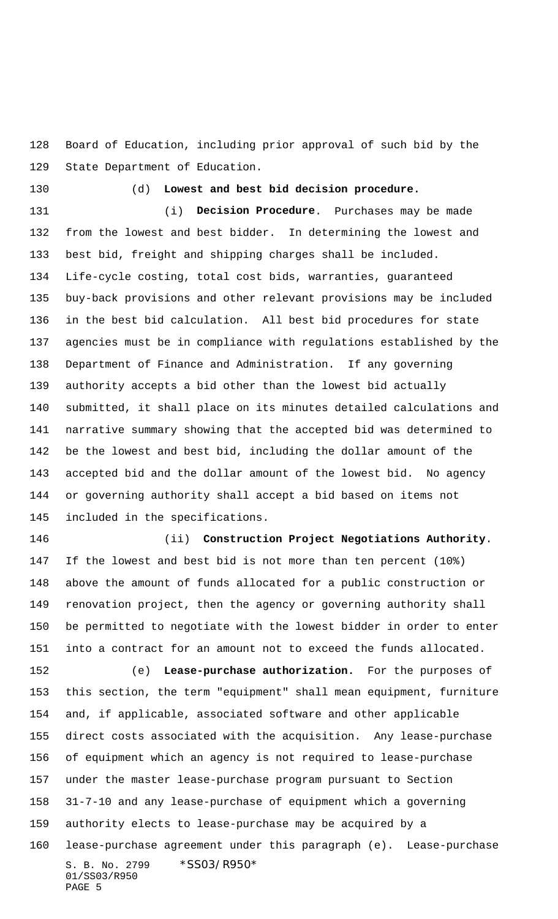Board of Education, including prior approval of such bid by the State Department of Education.

(d) **Lowest and best bid decision procedure.**

 (i) **Decision Procedure**. Purchases may be made from the lowest and best bidder. In determining the lowest and best bid, freight and shipping charges shall be included. Life-cycle costing, total cost bids, warranties, guaranteed buy-back provisions and other relevant provisions may be included in the best bid calculation. All best bid procedures for state agencies must be in compliance with regulations established by the Department of Finance and Administration. If any governing authority accepts a bid other than the lowest bid actually submitted, it shall place on its minutes detailed calculations and narrative summary showing that the accepted bid was determined to be the lowest and best bid, including the dollar amount of the accepted bid and the dollar amount of the lowest bid. No agency or governing authority shall accept a bid based on items not included in the specifications.

 (ii) **Construction Project Negotiations Authority**. If the lowest and best bid is not more than ten percent (10%) above the amount of funds allocated for a public construction or renovation project, then the agency or governing authority shall be permitted to negotiate with the lowest bidder in order to enter into a contract for an amount not to exceed the funds allocated.

S. B. No. 2799 \* SS03/R950\* 01/SS03/R950 PAGE 5 (e) **Lease-purchase authorization.** For the purposes of this section, the term "equipment" shall mean equipment, furniture and, if applicable, associated software and other applicable direct costs associated with the acquisition. Any lease-purchase of equipment which an agency is not required to lease-purchase under the master lease-purchase program pursuant to Section 31-7-10 and any lease-purchase of equipment which a governing authority elects to lease-purchase may be acquired by a lease-purchase agreement under this paragraph (e). Lease-purchase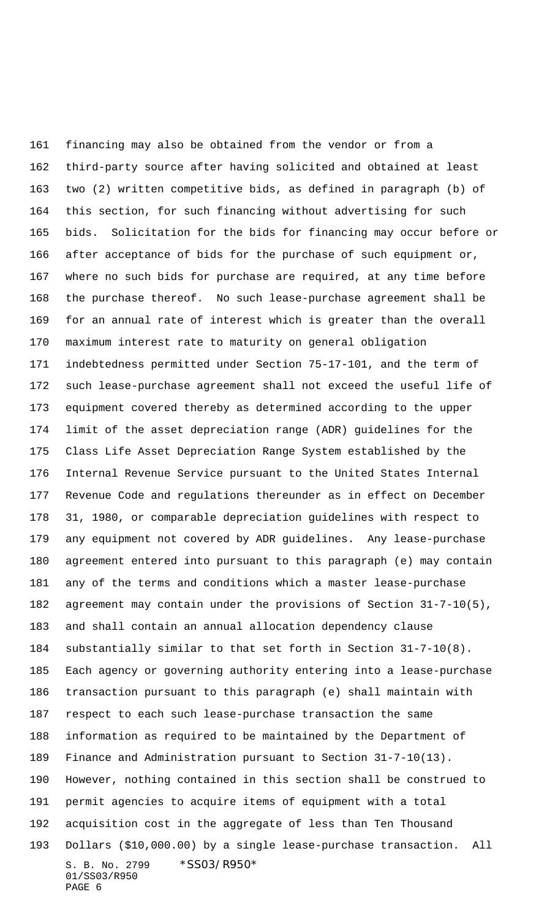S. B. No. 2799 \* SS03/R950\* 01/SS03/R950 PAGE 6 financing may also be obtained from the vendor or from a third-party source after having solicited and obtained at least two (2) written competitive bids, as defined in paragraph (b) of this section, for such financing without advertising for such bids. Solicitation for the bids for financing may occur before or after acceptance of bids for the purchase of such equipment or, where no such bids for purchase are required, at any time before the purchase thereof. No such lease-purchase agreement shall be for an annual rate of interest which is greater than the overall maximum interest rate to maturity on general obligation indebtedness permitted under Section 75-17-101, and the term of such lease-purchase agreement shall not exceed the useful life of equipment covered thereby as determined according to the upper limit of the asset depreciation range (ADR) guidelines for the Class Life Asset Depreciation Range System established by the Internal Revenue Service pursuant to the United States Internal Revenue Code and regulations thereunder as in effect on December 31, 1980, or comparable depreciation guidelines with respect to any equipment not covered by ADR guidelines. Any lease-purchase agreement entered into pursuant to this paragraph (e) may contain any of the terms and conditions which a master lease-purchase agreement may contain under the provisions of Section 31-7-10(5), and shall contain an annual allocation dependency clause substantially similar to that set forth in Section 31-7-10(8). Each agency or governing authority entering into a lease-purchase transaction pursuant to this paragraph (e) shall maintain with respect to each such lease-purchase transaction the same information as required to be maintained by the Department of Finance and Administration pursuant to Section 31-7-10(13). However, nothing contained in this section shall be construed to permit agencies to acquire items of equipment with a total acquisition cost in the aggregate of less than Ten Thousand Dollars (\$10,000.00) by a single lease-purchase transaction. All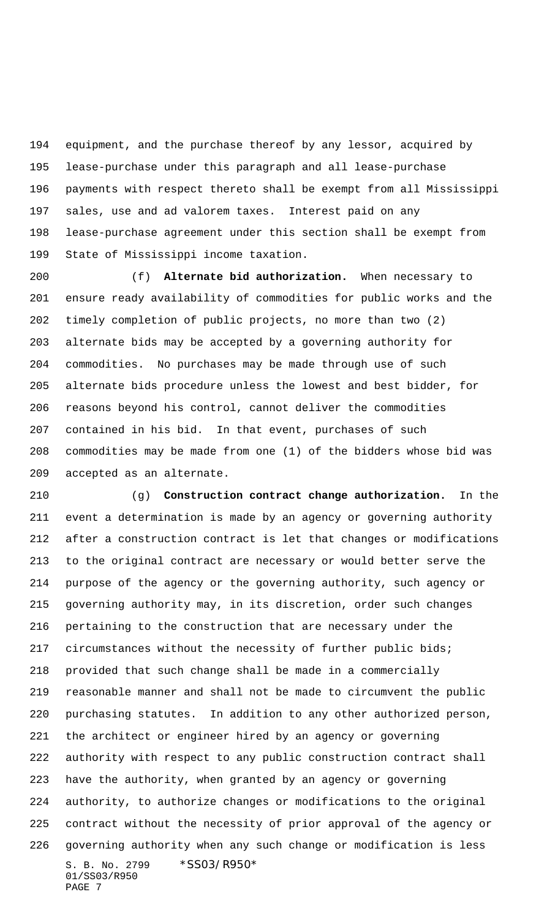equipment, and the purchase thereof by any lessor, acquired by lease-purchase under this paragraph and all lease-purchase payments with respect thereto shall be exempt from all Mississippi sales, use and ad valorem taxes. Interest paid on any lease-purchase agreement under this section shall be exempt from State of Mississippi income taxation.

 (f) **Alternate bid authorization.** When necessary to ensure ready availability of commodities for public works and the timely completion of public projects, no more than two (2) alternate bids may be accepted by a governing authority for commodities. No purchases may be made through use of such alternate bids procedure unless the lowest and best bidder, for reasons beyond his control, cannot deliver the commodities contained in his bid. In that event, purchases of such commodities may be made from one (1) of the bidders whose bid was accepted as an alternate.

S. B. No. 2799 \* SS03/R950\* 01/SS03/R950 (g) **Construction contract change authorization.** In the event a determination is made by an agency or governing authority after a construction contract is let that changes or modifications to the original contract are necessary or would better serve the purpose of the agency or the governing authority, such agency or governing authority may, in its discretion, order such changes pertaining to the construction that are necessary under the circumstances without the necessity of further public bids; provided that such change shall be made in a commercially reasonable manner and shall not be made to circumvent the public purchasing statutes. In addition to any other authorized person, the architect or engineer hired by an agency or governing authority with respect to any public construction contract shall have the authority, when granted by an agency or governing authority, to authorize changes or modifications to the original contract without the necessity of prior approval of the agency or governing authority when any such change or modification is less

PAGE 7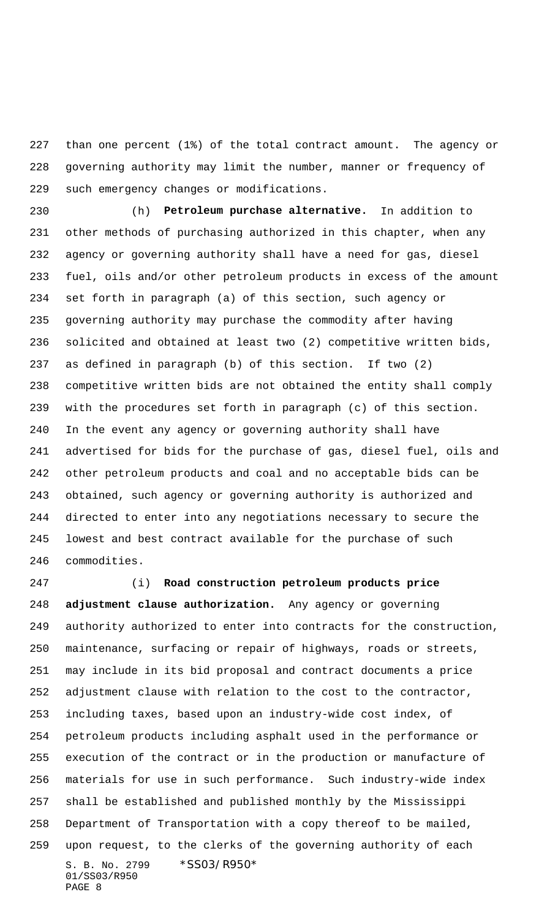than one percent (1%) of the total contract amount. The agency or governing authority may limit the number, manner or frequency of such emergency changes or modifications.

 (h) **Petroleum purchase alternative.** In addition to other methods of purchasing authorized in this chapter, when any agency or governing authority shall have a need for gas, diesel fuel, oils and/or other petroleum products in excess of the amount set forth in paragraph (a) of this section, such agency or governing authority may purchase the commodity after having solicited and obtained at least two (2) competitive written bids, as defined in paragraph (b) of this section. If two (2) competitive written bids are not obtained the entity shall comply with the procedures set forth in paragraph (c) of this section. In the event any agency or governing authority shall have advertised for bids for the purchase of gas, diesel fuel, oils and other petroleum products and coal and no acceptable bids can be obtained, such agency or governing authority is authorized and directed to enter into any negotiations necessary to secure the lowest and best contract available for the purchase of such commodities.

S. B. No. 2799 \*SS03/R950\* 01/SS03/R950 PAGE 8 (i) **Road construction petroleum products price adjustment clause authorization.** Any agency or governing authority authorized to enter into contracts for the construction, maintenance, surfacing or repair of highways, roads or streets, may include in its bid proposal and contract documents a price adjustment clause with relation to the cost to the contractor, including taxes, based upon an industry-wide cost index, of petroleum products including asphalt used in the performance or execution of the contract or in the production or manufacture of materials for use in such performance. Such industry-wide index shall be established and published monthly by the Mississippi Department of Transportation with a copy thereof to be mailed, upon request, to the clerks of the governing authority of each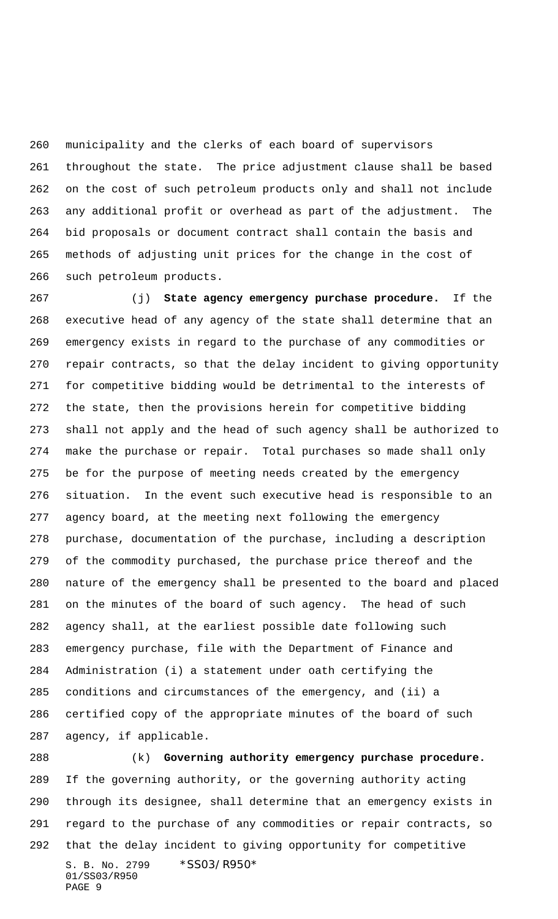municipality and the clerks of each board of supervisors throughout the state. The price adjustment clause shall be based on the cost of such petroleum products only and shall not include any additional profit or overhead as part of the adjustment. The bid proposals or document contract shall contain the basis and methods of adjusting unit prices for the change in the cost of such petroleum products.

 (j) **State agency emergency purchase procedure.** If the executive head of any agency of the state shall determine that an emergency exists in regard to the purchase of any commodities or repair contracts, so that the delay incident to giving opportunity for competitive bidding would be detrimental to the interests of the state, then the provisions herein for competitive bidding shall not apply and the head of such agency shall be authorized to make the purchase or repair. Total purchases so made shall only be for the purpose of meeting needs created by the emergency situation. In the event such executive head is responsible to an agency board, at the meeting next following the emergency purchase, documentation of the purchase, including a description of the commodity purchased, the purchase price thereof and the nature of the emergency shall be presented to the board and placed on the minutes of the board of such agency. The head of such agency shall, at the earliest possible date following such emergency purchase, file with the Department of Finance and Administration (i) a statement under oath certifying the conditions and circumstances of the emergency, and (ii) a certified copy of the appropriate minutes of the board of such agency, if applicable.

S. B. No. 2799 \*SS03/R950\* 01/SS03/R950 PAGE 9 (k) **Governing authority emergency purchase procedure.** If the governing authority, or the governing authority acting through its designee, shall determine that an emergency exists in regard to the purchase of any commodities or repair contracts, so that the delay incident to giving opportunity for competitive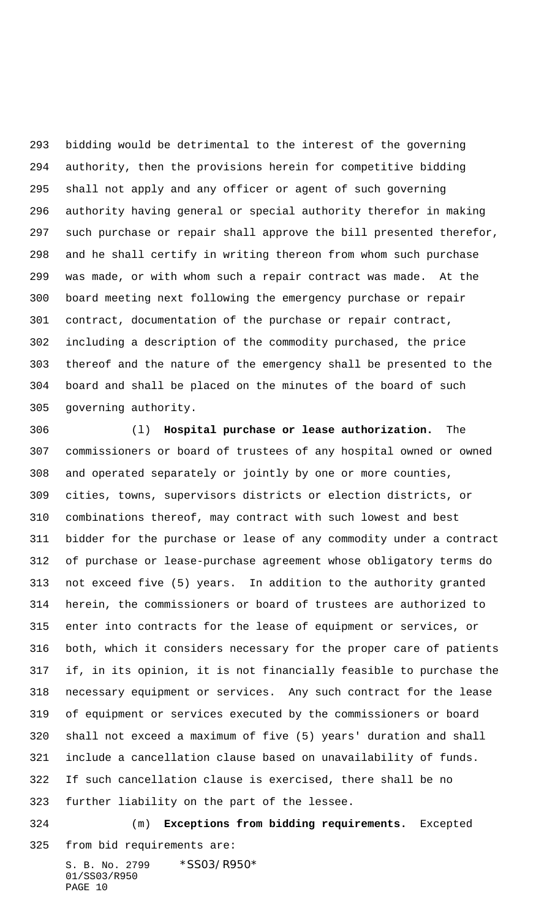bidding would be detrimental to the interest of the governing authority, then the provisions herein for competitive bidding shall not apply and any officer or agent of such governing authority having general or special authority therefor in making such purchase or repair shall approve the bill presented therefor, and he shall certify in writing thereon from whom such purchase was made, or with whom such a repair contract was made. At the board meeting next following the emergency purchase or repair contract, documentation of the purchase or repair contract, including a description of the commodity purchased, the price thereof and the nature of the emergency shall be presented to the board and shall be placed on the minutes of the board of such governing authority.

 (l) **Hospital purchase or lease authorization.** The commissioners or board of trustees of any hospital owned or owned and operated separately or jointly by one or more counties, cities, towns, supervisors districts or election districts, or combinations thereof, may contract with such lowest and best bidder for the purchase or lease of any commodity under a contract of purchase or lease-purchase agreement whose obligatory terms do not exceed five (5) years. In addition to the authority granted herein, the commissioners or board of trustees are authorized to enter into contracts for the lease of equipment or services, or both, which it considers necessary for the proper care of patients if, in its opinion, it is not financially feasible to purchase the necessary equipment or services. Any such contract for the lease of equipment or services executed by the commissioners or board shall not exceed a maximum of five (5) years' duration and shall include a cancellation clause based on unavailability of funds. If such cancellation clause is exercised, there shall be no further liability on the part of the lessee. (m) **Exceptions from bidding requirements.** Excepted

from bid requirements are: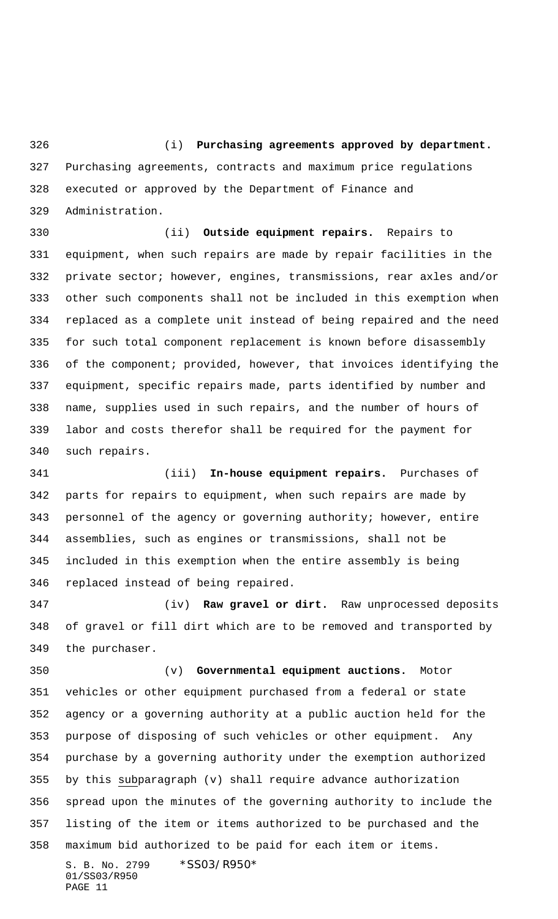(i) **Purchasing agreements approved by department.** Purchasing agreements, contracts and maximum price regulations executed or approved by the Department of Finance and Administration.

 (ii) **Outside equipment repairs.** Repairs to equipment, when such repairs are made by repair facilities in the private sector; however, engines, transmissions, rear axles and/or other such components shall not be included in this exemption when replaced as a complete unit instead of being repaired and the need for such total component replacement is known before disassembly of the component; provided, however, that invoices identifying the equipment, specific repairs made, parts identified by number and name, supplies used in such repairs, and the number of hours of labor and costs therefor shall be required for the payment for such repairs.

 (iii) **In-house equipment repairs.** Purchases of parts for repairs to equipment, when such repairs are made by personnel of the agency or governing authority; however, entire assemblies, such as engines or transmissions, shall not be included in this exemption when the entire assembly is being replaced instead of being repaired.

 (iv) **Raw gravel or dirt.** Raw unprocessed deposits of gravel or fill dirt which are to be removed and transported by the purchaser.

 (v) **Governmental equipment auctions.** Motor vehicles or other equipment purchased from a federal or state agency or a governing authority at a public auction held for the purpose of disposing of such vehicles or other equipment. Any purchase by a governing authority under the exemption authorized by this subparagraph (v) shall require advance authorization spread upon the minutes of the governing authority to include the listing of the item or items authorized to be purchased and the maximum bid authorized to be paid for each item or items.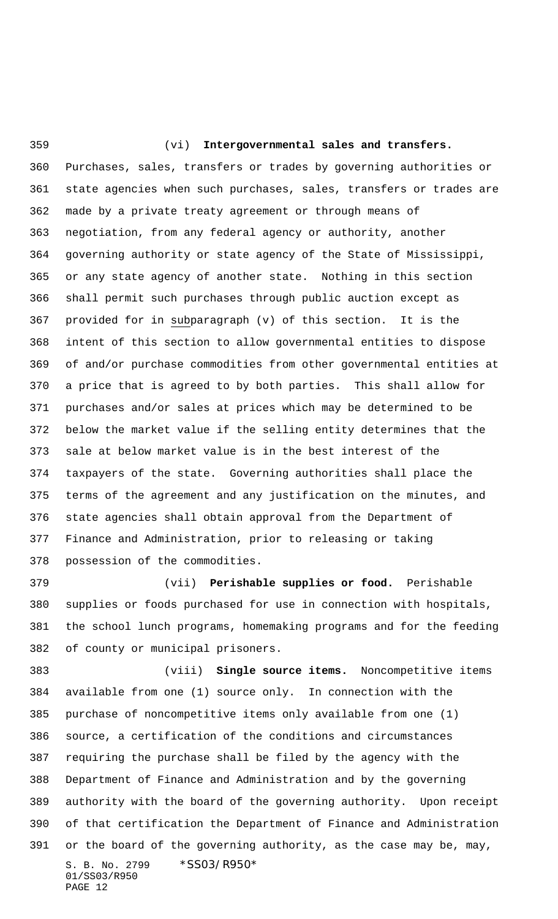(vi) **Intergovernmental sales and transfers.** Purchases, sales, transfers or trades by governing authorities or state agencies when such purchases, sales, transfers or trades are made by a private treaty agreement or through means of negotiation, from any federal agency or authority, another governing authority or state agency of the State of Mississippi, or any state agency of another state. Nothing in this section shall permit such purchases through public auction except as provided for in subparagraph (v) of this section. It is the intent of this section to allow governmental entities to dispose of and/or purchase commodities from other governmental entities at a price that is agreed to by both parties. This shall allow for purchases and/or sales at prices which may be determined to be below the market value if the selling entity determines that the sale at below market value is in the best interest of the taxpayers of the state. Governing authorities shall place the terms of the agreement and any justification on the minutes, and state agencies shall obtain approval from the Department of Finance and Administration, prior to releasing or taking possession of the commodities.

 (vii) **Perishable supplies or food.** Perishable supplies or foods purchased for use in connection with hospitals, the school lunch programs, homemaking programs and for the feeding of county or municipal prisoners.

S. B. No. 2799 \* SS03/R950\* 01/SS03/R950 PAGE 12 (viii) **Single source items.** Noncompetitive items available from one (1) source only. In connection with the purchase of noncompetitive items only available from one (1) source, a certification of the conditions and circumstances requiring the purchase shall be filed by the agency with the Department of Finance and Administration and by the governing authority with the board of the governing authority. Upon receipt of that certification the Department of Finance and Administration or the board of the governing authority, as the case may be, may,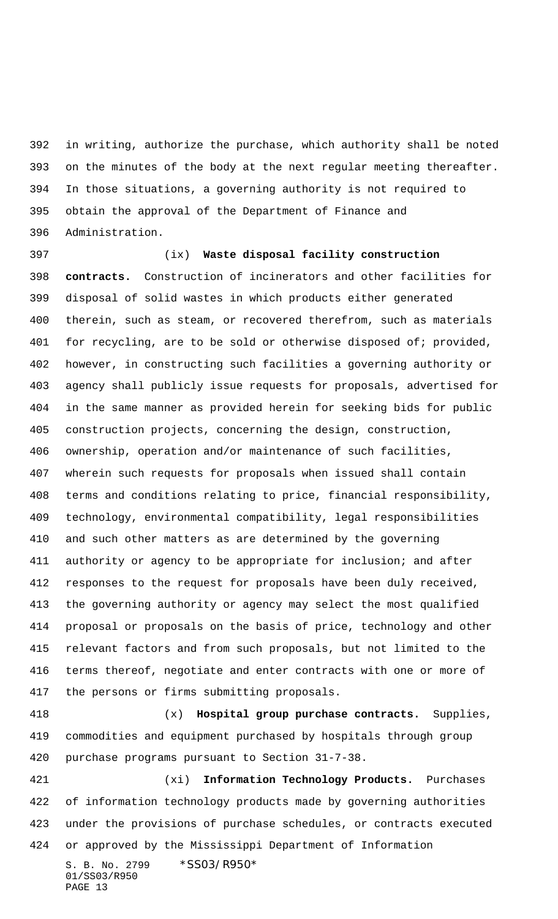in writing, authorize the purchase, which authority shall be noted on the minutes of the body at the next regular meeting thereafter. In those situations, a governing authority is not required to obtain the approval of the Department of Finance and Administration.

 (ix) **Waste disposal facility construction contracts.** Construction of incinerators and other facilities for disposal of solid wastes in which products either generated therein, such as steam, or recovered therefrom, such as materials 401 for recycling, are to be sold or otherwise disposed of; provided, however, in constructing such facilities a governing authority or agency shall publicly issue requests for proposals, advertised for in the same manner as provided herein for seeking bids for public construction projects, concerning the design, construction, ownership, operation and/or maintenance of such facilities, wherein such requests for proposals when issued shall contain terms and conditions relating to price, financial responsibility, technology, environmental compatibility, legal responsibilities and such other matters as are determined by the governing authority or agency to be appropriate for inclusion; and after responses to the request for proposals have been duly received, the governing authority or agency may select the most qualified proposal or proposals on the basis of price, technology and other relevant factors and from such proposals, but not limited to the terms thereof, negotiate and enter contracts with one or more of the persons or firms submitting proposals.

 (x) **Hospital group purchase contracts.** Supplies, commodities and equipment purchased by hospitals through group purchase programs pursuant to Section 31-7-38.

S. B. No. 2799 \* SS03/R950\* (xi) **Information Technology Products.** Purchases of information technology products made by governing authorities under the provisions of purchase schedules, or contracts executed or approved by the Mississippi Department of Information

```
01/SS03/R950
PAGE 13
```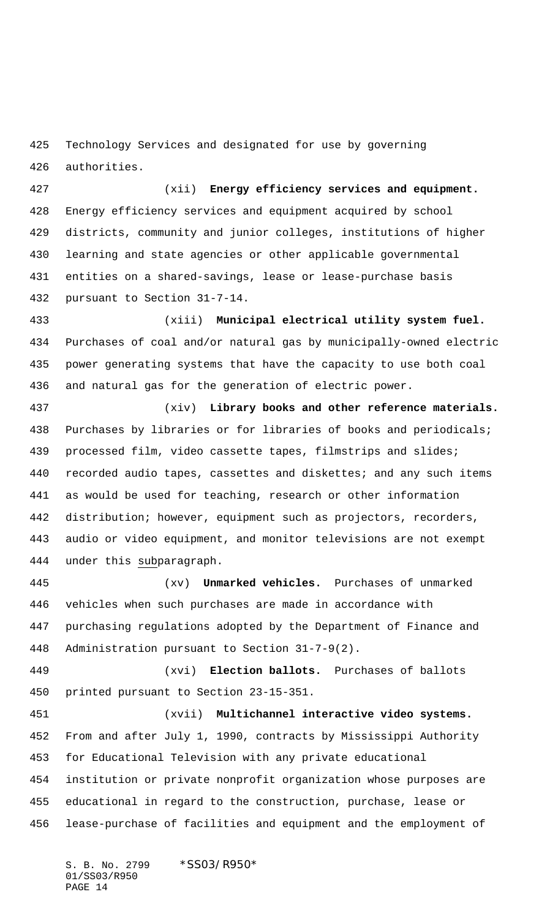Technology Services and designated for use by governing authorities.

 (xii) **Energy efficiency services and equipment.** Energy efficiency services and equipment acquired by school districts, community and junior colleges, institutions of higher learning and state agencies or other applicable governmental entities on a shared-savings, lease or lease-purchase basis pursuant to Section 31-7-14.

 (xiii) **Municipal electrical utility system fuel.** Purchases of coal and/or natural gas by municipally-owned electric power generating systems that have the capacity to use both coal and natural gas for the generation of electric power.

 (xiv) **Library books and other reference materials.** Purchases by libraries or for libraries of books and periodicals; processed film, video cassette tapes, filmstrips and slides; recorded audio tapes, cassettes and diskettes; and any such items as would be used for teaching, research or other information distribution; however, equipment such as projectors, recorders, audio or video equipment, and monitor televisions are not exempt 444 under this subparagraph.

 (xv) **Unmarked vehicles.** Purchases of unmarked vehicles when such purchases are made in accordance with purchasing regulations adopted by the Department of Finance and Administration pursuant to Section 31-7-9(2).

 (xvi) **Election ballots.** Purchases of ballots printed pursuant to Section 23-15-351.

 (xvii) **Multichannel interactive video systems.** From and after July 1, 1990, contracts by Mississippi Authority for Educational Television with any private educational institution or private nonprofit organization whose purposes are educational in regard to the construction, purchase, lease or lease-purchase of facilities and equipment and the employment of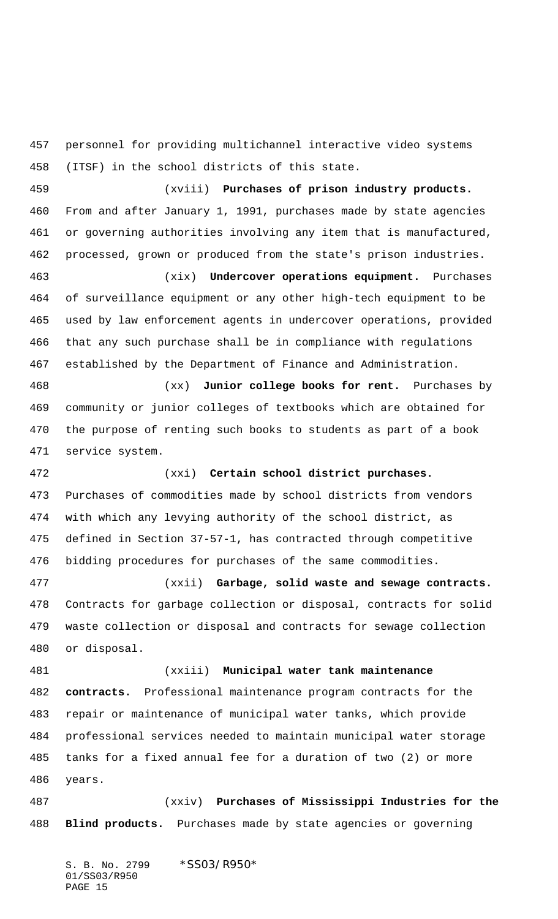personnel for providing multichannel interactive video systems (ITSF) in the school districts of this state.

 (xviii) **Purchases of prison industry products.** From and after January 1, 1991, purchases made by state agencies or governing authorities involving any item that is manufactured, processed, grown or produced from the state's prison industries.

 (xix) **Undercover operations equipment.** Purchases of surveillance equipment or any other high-tech equipment to be used by law enforcement agents in undercover operations, provided that any such purchase shall be in compliance with regulations established by the Department of Finance and Administration.

 (xx) **Junior college books for rent.** Purchases by community or junior colleges of textbooks which are obtained for the purpose of renting such books to students as part of a book service system.

 (xxi) **Certain school district purchases.** Purchases of commodities made by school districts from vendors with which any levying authority of the school district, as defined in Section 37-57-1, has contracted through competitive bidding procedures for purchases of the same commodities.

 (xxii) **Garbage, solid waste and sewage contracts.** Contracts for garbage collection or disposal, contracts for solid waste collection or disposal and contracts for sewage collection or disposal.

 (xxiii) **Municipal water tank maintenance contracts.** Professional maintenance program contracts for the repair or maintenance of municipal water tanks, which provide professional services needed to maintain municipal water storage tanks for a fixed annual fee for a duration of two (2) or more years.

 (xxiv) **Purchases of Mississippi Industries for the Blind products.** Purchases made by state agencies or governing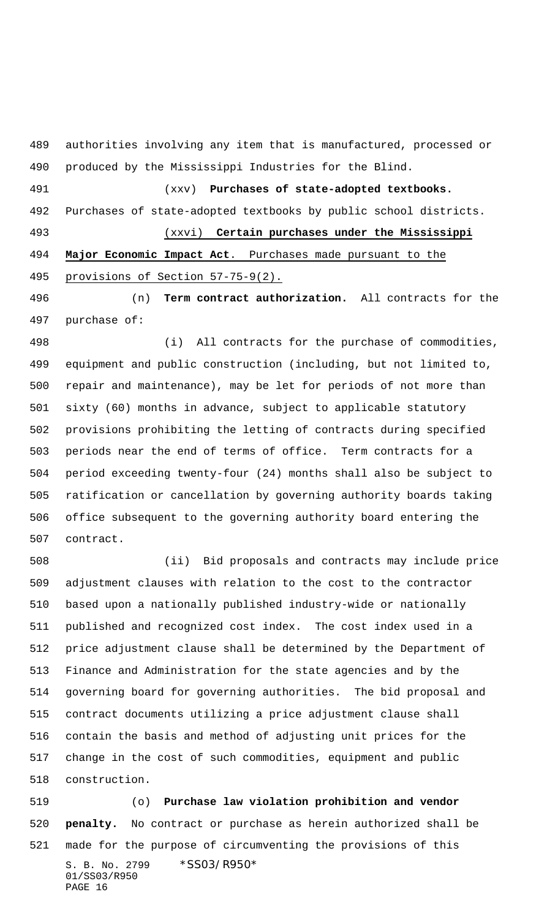authorities involving any item that is manufactured, processed or produced by the Mississippi Industries for the Blind.

 (xxv) **Purchases of state-adopted textbooks.** Purchases of state-adopted textbooks by public school districts. (xxvi) **Certain purchases under the Mississippi**

 **Major Economic Impact Act**. Purchases made pursuant to the provisions of Section 57-75-9(2).

 (n) **Term contract authorization.** All contracts for the purchase of:

 (i) All contracts for the purchase of commodities, equipment and public construction (including, but not limited to, repair and maintenance), may be let for periods of not more than sixty (60) months in advance, subject to applicable statutory provisions prohibiting the letting of contracts during specified periods near the end of terms of office. Term contracts for a period exceeding twenty-four (24) months shall also be subject to ratification or cancellation by governing authority boards taking office subsequent to the governing authority board entering the contract.

 (ii) Bid proposals and contracts may include price adjustment clauses with relation to the cost to the contractor based upon a nationally published industry-wide or nationally published and recognized cost index. The cost index used in a price adjustment clause shall be determined by the Department of Finance and Administration for the state agencies and by the governing board for governing authorities. The bid proposal and contract documents utilizing a price adjustment clause shall contain the basis and method of adjusting unit prices for the change in the cost of such commodities, equipment and public construction.

S. B. No. 2799 \*SS03/R950\* 01/SS03/R950 PAGE 16 (o) **Purchase law violation prohibition and vendor penalty.** No contract or purchase as herein authorized shall be made for the purpose of circumventing the provisions of this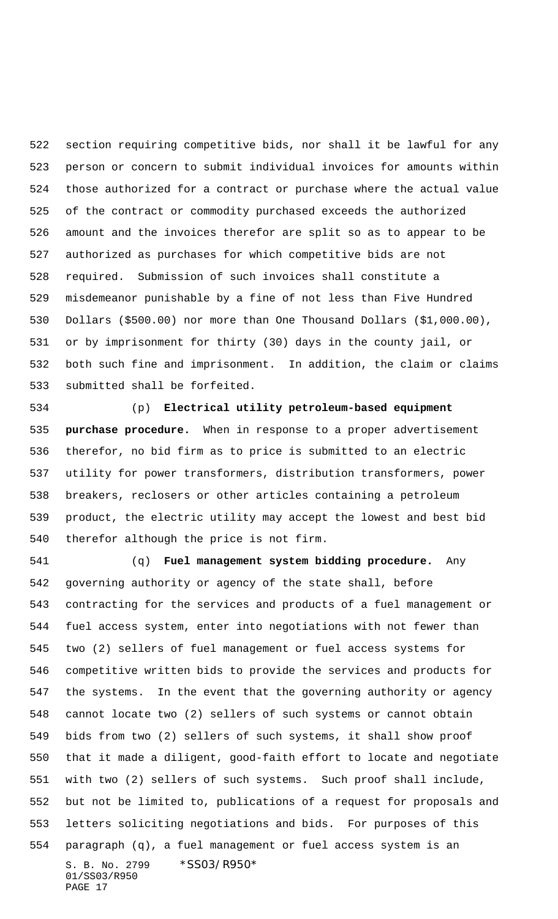section requiring competitive bids, nor shall it be lawful for any person or concern to submit individual invoices for amounts within those authorized for a contract or purchase where the actual value of the contract or commodity purchased exceeds the authorized amount and the invoices therefor are split so as to appear to be authorized as purchases for which competitive bids are not required. Submission of such invoices shall constitute a misdemeanor punishable by a fine of not less than Five Hundred Dollars (\$500.00) nor more than One Thousand Dollars (\$1,000.00), or by imprisonment for thirty (30) days in the county jail, or both such fine and imprisonment. In addition, the claim or claims submitted shall be forfeited.

 (p) **Electrical utility petroleum-based equipment purchase procedure.** When in response to a proper advertisement therefor, no bid firm as to price is submitted to an electric utility for power transformers, distribution transformers, power breakers, reclosers or other articles containing a petroleum product, the electric utility may accept the lowest and best bid therefor although the price is not firm.

S. B. No. 2799 \*SS03/R950\* 01/SS03/R950 PAGE 17 (q) **Fuel management system bidding procedure.** Any governing authority or agency of the state shall, before contracting for the services and products of a fuel management or fuel access system, enter into negotiations with not fewer than two (2) sellers of fuel management or fuel access systems for competitive written bids to provide the services and products for the systems. In the event that the governing authority or agency cannot locate two (2) sellers of such systems or cannot obtain bids from two (2) sellers of such systems, it shall show proof that it made a diligent, good-faith effort to locate and negotiate with two (2) sellers of such systems. Such proof shall include, but not be limited to, publications of a request for proposals and letters soliciting negotiations and bids. For purposes of this paragraph (q), a fuel management or fuel access system is an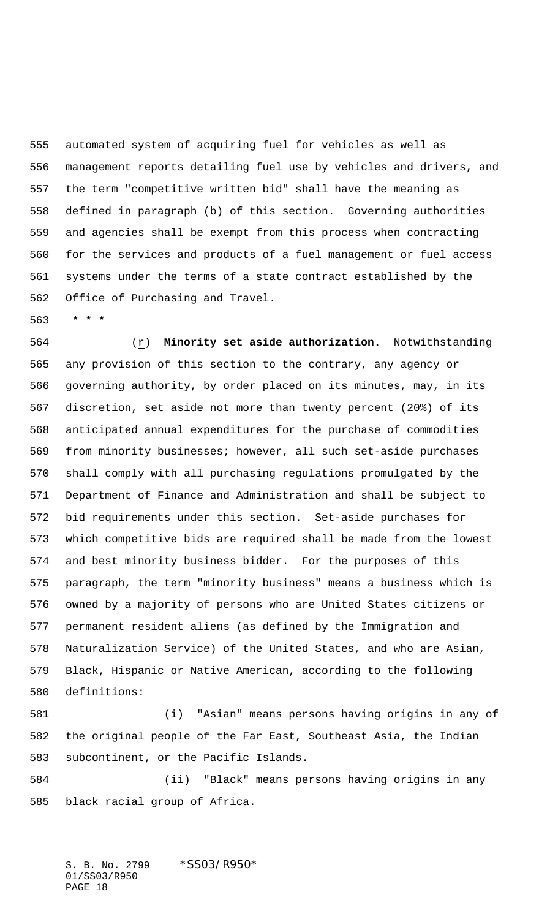automated system of acquiring fuel for vehicles as well as management reports detailing fuel use by vehicles and drivers, and the term "competitive written bid" shall have the meaning as defined in paragraph (b) of this section. Governing authorities and agencies shall be exempt from this process when contracting for the services and products of a fuel management or fuel access systems under the terms of a state contract established by the Office of Purchasing and Travel.

 **\* \* \***

 (r) **Minority set aside authorization.** Notwithstanding any provision of this section to the contrary, any agency or governing authority, by order placed on its minutes, may, in its discretion, set aside not more than twenty percent (20%) of its anticipated annual expenditures for the purchase of commodities from minority businesses; however, all such set-aside purchases shall comply with all purchasing regulations promulgated by the Department of Finance and Administration and shall be subject to bid requirements under this section. Set-aside purchases for which competitive bids are required shall be made from the lowest and best minority business bidder. For the purposes of this paragraph, the term "minority business" means a business which is owned by a majority of persons who are United States citizens or permanent resident aliens (as defined by the Immigration and Naturalization Service) of the United States, and who are Asian, Black, Hispanic or Native American, according to the following definitions:

 (i) "Asian" means persons having origins in any of the original people of the Far East, Southeast Asia, the Indian subcontinent, or the Pacific Islands.

 (ii) "Black" means persons having origins in any black racial group of Africa.